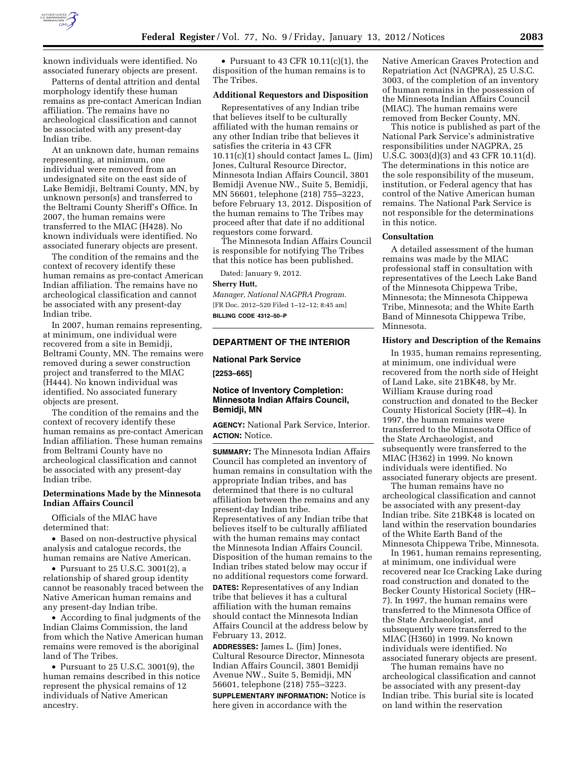

known individuals were identified. No associated funerary objects are present.

Patterns of dental attrition and dental morphology identify these human remains as pre-contact American Indian affiliation. The remains have no archeological classification and cannot be associated with any present-day Indian tribe.

At an unknown date, human remains representing, at minimum, one individual were removed from an undesignated site on the east side of Lake Bemidji, Beltrami County, MN, by unknown person(s) and transferred to the Beltrami County Sheriff's Office. In 2007, the human remains were transferred to the MIAC (H428). No known individuals were identified. No associated funerary objects are present.

The condition of the remains and the context of recovery identify these human remains as pre-contact American Indian affiliation. The remains have no archeological classification and cannot be associated with any present-day Indian tribe.

In 2007, human remains representing, at minimum, one individual were recovered from a site in Bemidji, Beltrami County, MN. The remains were removed during a sewer construction project and transferred to the MIAC (H444). No known individual was identified. No associated funerary objects are present.

The condition of the remains and the context of recovery identify these human remains as pre-contact American Indian affiliation. These human remains from Beltrami County have no archeological classification and cannot be associated with any present-day Indian tribe.

### **Determinations Made by the Minnesota Indian Affairs Council**

Officials of the MIAC have determined that:

• Based on non-destructive physical analysis and catalogue records, the human remains are Native American.

• Pursuant to 25 U.S.C. 3001(2), a relationship of shared group identity cannot be reasonably traced between the Native American human remains and any present-day Indian tribe.

• According to final judgments of the Indian Claims Commission, the land from which the Native American human remains were removed is the aboriginal land of The Tribes.

• Pursuant to 25 U.S.C. 3001(9), the human remains described in this notice represent the physical remains of 12 individuals of Native American ancestry.

• Pursuant to 43 CFR 10.11(c)(1), the disposition of the human remains is to The Tribes.

### **Additional Requestors and Disposition**

Representatives of any Indian tribe that believes itself to be culturally affiliated with the human remains or any other Indian tribe that believes it satisfies the criteria in 43 CFR 10.11(c)(1) should contact James L. (Jim) Jones, Cultural Resource Director, Minnesota Indian Affairs Council, 3801 Bemidji Avenue NW., Suite 5, Bemidji, MN 56601, telephone (218) 755–3223, before February 13, 2012. Disposition of the human remains to The Tribes may proceed after that date if no additional requestors come forward.

The Minnesota Indian Affairs Council is responsible for notifying The Tribes that this notice has been published.

Dated: January 9, 2012.

#### **Sherry Hutt,**

*Manager, National NAGPRA Program.*  [FR Doc. 2012–520 Filed 1–12–12; 8:45 am] **BILLING CODE 4312–50–P** 

### **DEPARTMENT OF THE INTERIOR**

#### **National Park Service**

**[2253–665]** 

### **Notice of Inventory Completion: Minnesota Indian Affairs Council, Bemidji, MN**

**AGENCY:** National Park Service, Interior. **ACTION:** Notice.

**SUMMARY:** The Minnesota Indian Affairs Council has completed an inventory of human remains in consultation with the appropriate Indian tribes, and has determined that there is no cultural affiliation between the remains and any present-day Indian tribe. Representatives of any Indian tribe that believes itself to be culturally affiliated with the human remains may contact the Minnesota Indian Affairs Council. Disposition of the human remains to the Indian tribes stated below may occur if no additional requestors come forward. **DATES:** Representatives of any Indian

tribe that believes it has a cultural affiliation with the human remains should contact the Minnesota Indian Affairs Council at the address below by February 13, 2012.

**ADDRESSES:** James L. (Jim) Jones, Cultural Resource Director, Minnesota Indian Affairs Council, 3801 Bemidji Avenue NW., Suite 5, Bemidji, MN 56601, telephone (218) 755–3223. **SUPPLEMENTARY INFORMATION:** Notice is here given in accordance with the

Native American Graves Protection and Repatriation Act (NAGPRA), 25 U.S.C. 3003, of the completion of an inventory of human remains in the possession of the Minnesota Indian Affairs Council (MIAC). The human remains were removed from Becker County, MN.

This notice is published as part of the National Park Service's administrative responsibilities under NAGPRA, 25 U.S.C. 3003(d)(3) and 43 CFR 10.11(d). The determinations in this notice are the sole responsibility of the museum, institution, or Federal agency that has control of the Native American human remains. The National Park Service is not responsible for the determinations in this notice.

### **Consultation**

A detailed assessment of the human remains was made by the MIAC professional staff in consultation with representatives of the Leech Lake Band of the Minnesota Chippewa Tribe, Minnesota; the Minnesota Chippewa Tribe, Minnesota; and the White Earth Band of Minnesota Chippewa Tribe, Minnesota.

### **History and Description of the Remains**

In 1935, human remains representing, at minimum, one individual were recovered from the north side of Height of Land Lake, site 21BK48, by Mr. William Krause during road construction and donated to the Becker County Historical Society (HR–4). In 1997, the human remains were transferred to the Minnesota Office of the State Archaeologist, and subsequently were transferred to the MIAC (H362) in 1999. No known individuals were identified. No associated funerary objects are present.

The human remains have no archeological classification and cannot be associated with any present-day Indian tribe. Site 21BK48 is located on land within the reservation boundaries of the White Earth Band of the Minnesota Chippewa Tribe, Minnesota.

In 1961, human remains representing, at minimum, one individual were recovered near Ice Cracking Lake during road construction and donated to the Becker County Historical Society (HR– 7). In 1997, the human remains were transferred to the Minnesota Office of the State Archaeologist, and subsequently were transferred to the MIAC (H360) in 1999. No known individuals were identified. No associated funerary objects are present.

The human remains have no archeological classification and cannot be associated with any present-day Indian tribe. This burial site is located on land within the reservation